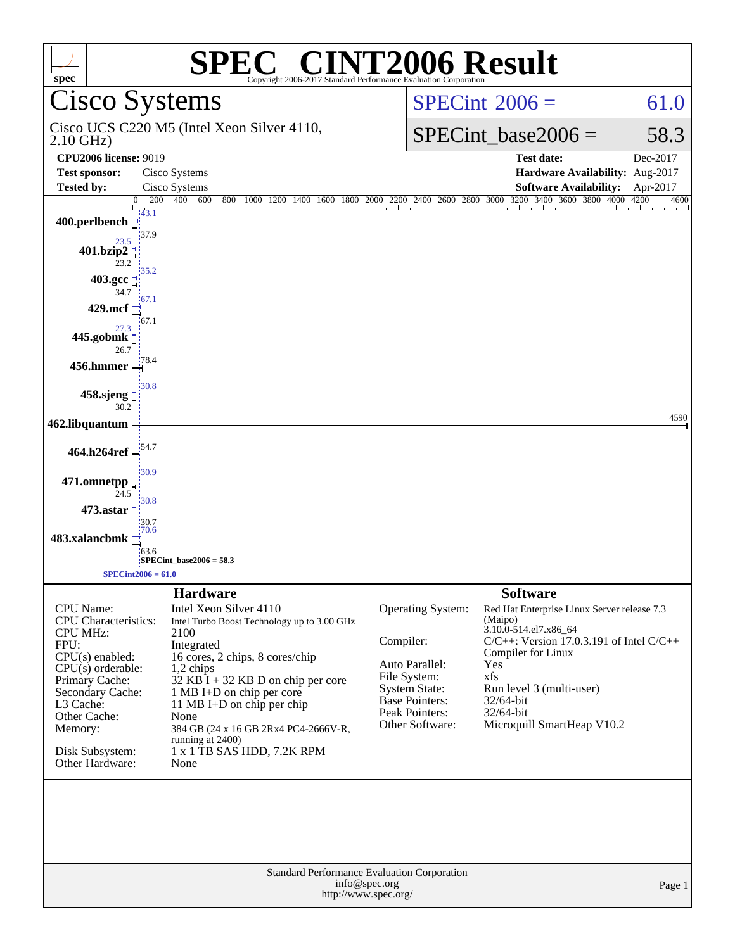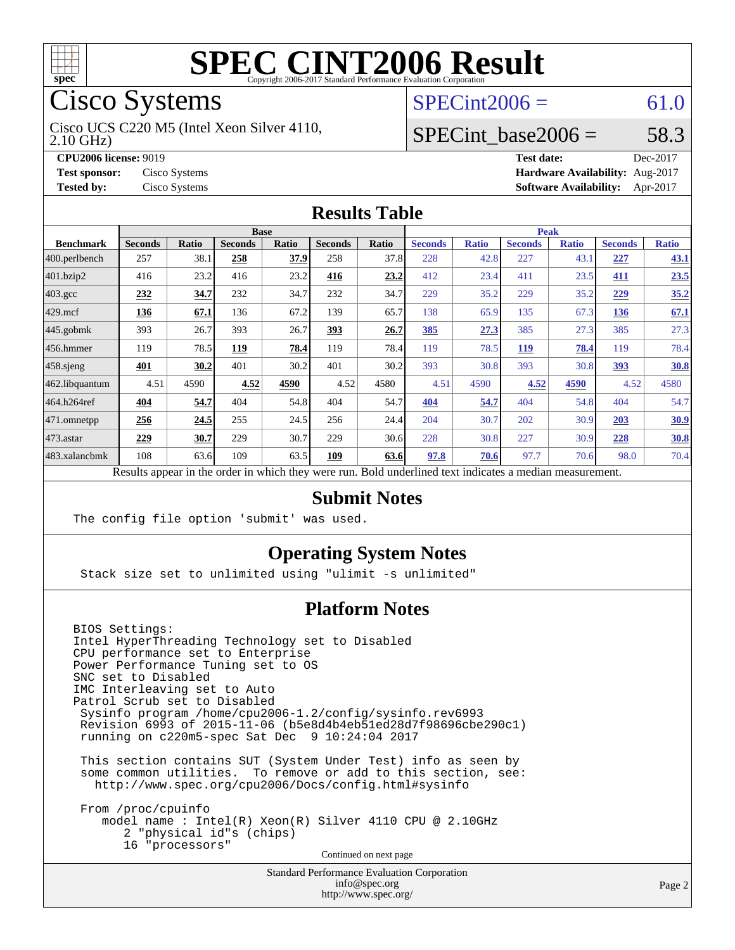

# Cisco Systems

2.10 GHz) Cisco UCS C220 M5 (Intel Xeon Silver 4110,

**[CPU2006 license:](http://www.spec.org/auto/cpu2006/Docs/result-fields.html#CPU2006license)** 9019

**[Tested by:](http://www.spec.org/auto/cpu2006/Docs/result-fields.html#Testedby)** Cisco Systems

## $SPECint2006 = 61.0$  $SPECint2006 = 61.0$

#### SPECint base2006 =  $58.3$

| <b>CPU2006 license: 9019</b>       |               | <b>Test date:</b>                      | Dec-2017 |
|------------------------------------|---------------|----------------------------------------|----------|
| <b>Test sponsor:</b> Cisco Systems |               | Hardware Availability: Aug-2017        |          |
| <b>Tested by:</b>                  | Cisco Systems | <b>Software Availability:</b> Apr-2017 |          |

#### **[Results Table](http://www.spec.org/auto/cpu2006/Docs/result-fields.html#ResultsTable)**

|                                                                                                          | <b>Base</b>    |              |                |       | <b>Peak</b>    |       |                |              |                |              |                |              |
|----------------------------------------------------------------------------------------------------------|----------------|--------------|----------------|-------|----------------|-------|----------------|--------------|----------------|--------------|----------------|--------------|
| <b>Benchmark</b>                                                                                         | <b>Seconds</b> | <b>Ratio</b> | <b>Seconds</b> | Ratio | <b>Seconds</b> | Ratio | <b>Seconds</b> | <b>Ratio</b> | <b>Seconds</b> | <b>Ratio</b> | <b>Seconds</b> | <b>Ratio</b> |
| 400.perlbench                                                                                            | 257            | 38.1         | 258            | 37.9  | 258            | 37.8  | 228            | 42.8         | 227            | 43.1         | 227            | 43.1         |
| 401.bzip2                                                                                                | 416            | 23.2         | 416            | 23.2  | 416            | 23.2  | 412            | 23.4         | 411            | 23.5         | 411            | 23.5         |
| $403.\mathrm{gcc}$                                                                                       | 232            | 34.7         | 232            | 34.7  | 232            | 34.7  | 229            | 35.2         | 229            | 35.2         | 229            | 35.2         |
| $429$ mcf                                                                                                | 136            | 67.1         | 136            | 67.2  | 139            | 65.7  | 138            | 65.9         | 135            | 67.3         | 136            | 67.1         |
| $445$ .gobmk                                                                                             | 393            | 26.7         | 393            | 26.7  | <u>393</u>     | 26.7  | <u>385</u>     | 27.3         | 385            | 27.3         | 385            | 27.3         |
| $456.$ hmmer                                                                                             | 119            | 78.5         | 119            | 78.4  | 119            | 78.4  | 119            | 78.5         | <u>119</u>     | 78.4         | 119            | 78.4         |
| $458$ .sjeng                                                                                             | 401            | 30.2         | 401            | 30.2  | 401            | 30.2  | 393            | 30.8         | 393            | 30.8         | 393            | 30.8         |
| 462.libquantum                                                                                           | 4.51           | 4590         | 4.52           | 4590  | 4.52           | 4580  | 4.51           | 4590         | 4.52           | 4590         | 4.52           | 4580         |
| 464.h264ref                                                                                              | 404            | 54.7         | 404            | 54.8  | 404            | 54.7  | 404            | 54.7         | 404            | 54.8         | 404            | 54.7         |
| $ 471$ .omnetpp                                                                                          | 256            | 24.5         | 255            | 24.5  | 256            | 24.4  | 204            | 30.7         | 202            | 30.9         | 203            | <u>30.9</u>  |
| $473$ . astar                                                                                            | 229            | 30.7         | 229            | 30.7  | 229            | 30.6  | 228            | 30.8         | 227            | 30.9         | 228            | 30.8         |
| 483.xalancbmk                                                                                            | 108            | 63.6         | 109            | 63.5  | 109            | 63.6  | 97.8           | 70.6         | 97.7           | 70.6         | 98.0           | 70.4         |
| Results appear in the order in which they were run. Bold underlined text indicates a median measurement. |                |              |                |       |                |       |                |              |                |              |                |              |

#### **[Submit Notes](http://www.spec.org/auto/cpu2006/Docs/result-fields.html#SubmitNotes)**

The config file option 'submit' was used.

#### **[Operating System Notes](http://www.spec.org/auto/cpu2006/Docs/result-fields.html#OperatingSystemNotes)**

Stack size set to unlimited using "ulimit -s unlimited"

#### **[Platform Notes](http://www.spec.org/auto/cpu2006/Docs/result-fields.html#PlatformNotes)**

BIOS Settings: Intel HyperThreading Technology set to Disabled CPU performance set to Enterprise Power Performance Tuning set to OS SNC set to Disabled IMC Interleaving set to Auto Patrol Scrub set to Disabled Sysinfo program /home/cpu2006-1.2/config/sysinfo.rev6993 Revision 6993 of 2015-11-06 (b5e8d4b4eb51ed28d7f98696cbe290c1) running on c220m5-spec Sat Dec 9 10:24:04 2017 This section contains SUT (System Under Test) info as seen by

 some common utilities. To remove or add to this section, see: <http://www.spec.org/cpu2006/Docs/config.html#sysinfo>

 From /proc/cpuinfo model name : Intel(R) Xeon(R) Silver 4110 CPU @ 2.10GHz 2 "physical id"s (chips) 16 "processors" Continued on next page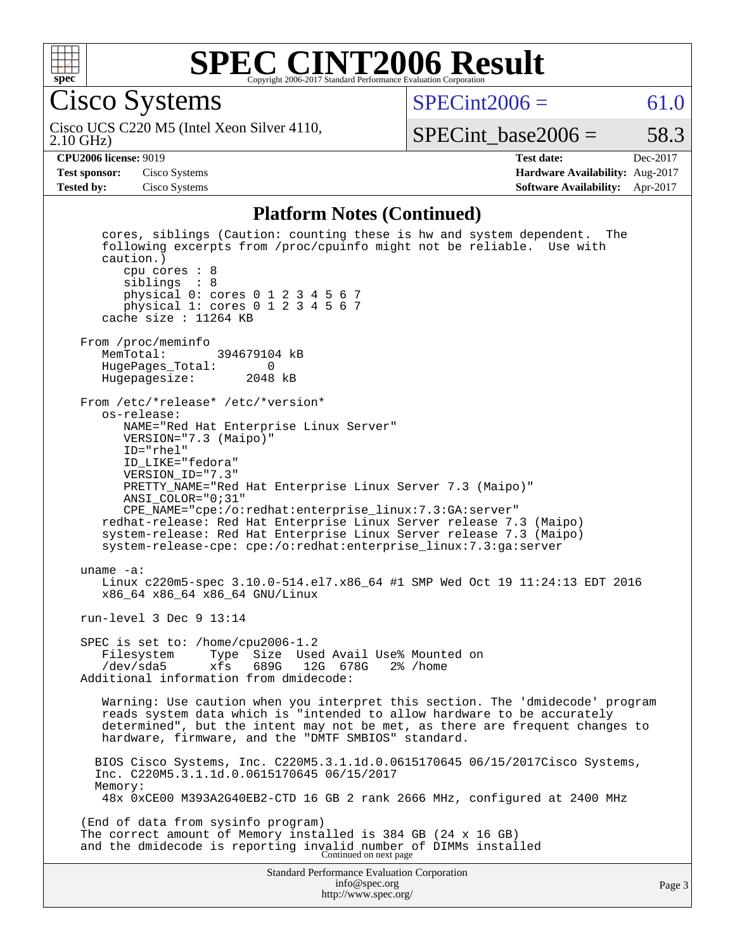

Cisco Systems

 $SPECint2006 = 61.0$  $SPECint2006 = 61.0$ 

2.10 GHz) Cisco UCS C220 M5 (Intel Xeon Silver 4110,

SPECint base2006 =  $58.3$ 

**[CPU2006 license:](http://www.spec.org/auto/cpu2006/Docs/result-fields.html#CPU2006license)** 9019 **[Test date:](http://www.spec.org/auto/cpu2006/Docs/result-fields.html#Testdate)** Dec-2017 **[Test sponsor:](http://www.spec.org/auto/cpu2006/Docs/result-fields.html#Testsponsor)** Cisco Systems **[Hardware Availability:](http://www.spec.org/auto/cpu2006/Docs/result-fields.html#HardwareAvailability)** Aug-2017 **[Tested by:](http://www.spec.org/auto/cpu2006/Docs/result-fields.html#Testedby)** Cisco Systems **[Software Availability:](http://www.spec.org/auto/cpu2006/Docs/result-fields.html#SoftwareAvailability)** Apr-2017

#### **[Platform Notes \(Continued\)](http://www.spec.org/auto/cpu2006/Docs/result-fields.html#PlatformNotes)**

Standard Performance Evaluation Corporation [info@spec.org](mailto:info@spec.org) <http://www.spec.org/> Page 3 cores, siblings (Caution: counting these is hw and system dependent. The following excerpts from /proc/cpuinfo might not be reliable. Use with caution.) cpu cores : 8 siblings : 8 physical 0: cores 0 1 2 3 4 5 6 7 physical 1: cores 0 1 2 3 4 5 6 7 cache size : 11264 KB From /proc/meminfo<br>MemTotal: 394679104 kB HugePages\_Total: 0 Hugepagesize: 2048 kB From /etc/\*release\* /etc/\*version\* os-release: NAME="Red Hat Enterprise Linux Server" VERSION="7.3 (Maipo)" ID="rhel" ID\_LIKE="fedora" VERSION\_ID="7.3" PRETTY\_NAME="Red Hat Enterprise Linux Server 7.3 (Maipo)" ANSI\_COLOR="0;31" CPE\_NAME="cpe:/o:redhat:enterprise\_linux:7.3:GA:server" redhat-release: Red Hat Enterprise Linux Server release 7.3 (Maipo) system-release: Red Hat Enterprise Linux Server release 7.3 (Maipo) system-release-cpe: cpe:/o:redhat:enterprise\_linux:7.3:ga:server uname -a: Linux c220m5-spec 3.10.0-514.el7.x86\_64 #1 SMP Wed Oct 19 11:24:13 EDT 2016 x86\_64 x86\_64 x86\_64 GNU/Linux run-level 3 Dec 9 13:14 SPEC is set to: /home/cpu2006-1.2 Filesystem Type Size Used Avail Use% Mounted on<br>/dev/sda5 xfs 689G 12G 678G 2% /home /dev/sda5 xfs 689G 12G 678G 2% /home Additional information from dmidecode: Warning: Use caution when you interpret this section. The 'dmidecode' program reads system data which is "intended to allow hardware to be accurately determined", but the intent may not be met, as there are frequent changes to hardware, firmware, and the "DMTF SMBIOS" standard. BIOS Cisco Systems, Inc. C220M5.3.1.1d.0.0615170645 06/15/2017Cisco Systems, Inc. C220M5.3.1.1d.0.0615170645 06/15/2017 Memory: 48x 0xCE00 M393A2G40EB2-CTD 16 GB 2 rank 2666 MHz, configured at 2400 MHz (End of data from sysinfo program) The correct amount of Memory installed is 384 GB (24 x 16 GB) and the dmidecode is reporting invalid number of DIMMs installed Continued on next page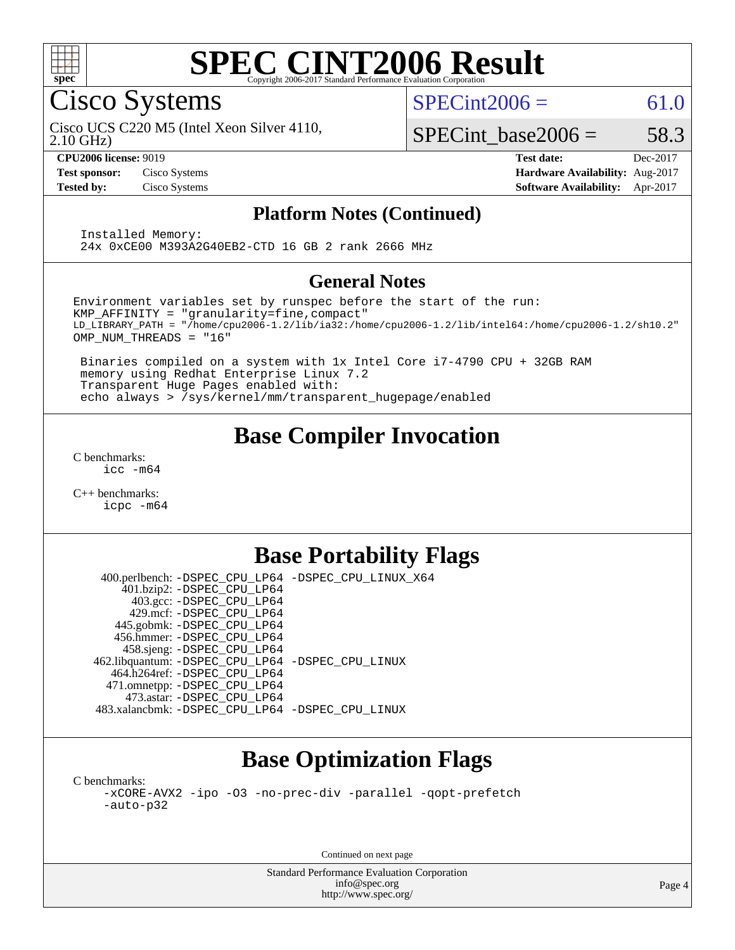

Cisco Systems

 $SPECint2006 = 61.0$  $SPECint2006 = 61.0$ 

2.10 GHz) Cisco UCS C220 M5 (Intel Xeon Silver 4110,

SPECint base2006 =  $58.3$ 

**[CPU2006 license:](http://www.spec.org/auto/cpu2006/Docs/result-fields.html#CPU2006license)** 9019 **[Test date:](http://www.spec.org/auto/cpu2006/Docs/result-fields.html#Testdate)** Dec-2017 **[Test sponsor:](http://www.spec.org/auto/cpu2006/Docs/result-fields.html#Testsponsor)** Cisco Systems **[Hardware Availability:](http://www.spec.org/auto/cpu2006/Docs/result-fields.html#HardwareAvailability)** Aug-2017 **[Tested by:](http://www.spec.org/auto/cpu2006/Docs/result-fields.html#Testedby)** Cisco Systems **[Software Availability:](http://www.spec.org/auto/cpu2006/Docs/result-fields.html#SoftwareAvailability)** Apr-2017

#### **[Platform Notes \(Continued\)](http://www.spec.org/auto/cpu2006/Docs/result-fields.html#PlatformNotes)**

 Installed Memory: 24x 0xCE00 M393A2G40EB2-CTD 16 GB 2 rank 2666 MHz

#### **[General Notes](http://www.spec.org/auto/cpu2006/Docs/result-fields.html#GeneralNotes)**

Environment variables set by runspec before the start of the run: KMP\_AFFINITY = "granularity=fine,compact" LD\_LIBRARY\_PATH = "/home/cpu2006-1.2/lib/ia32:/home/cpu2006-1.2/lib/intel64:/home/cpu2006-1.2/sh10.2" OMP\_NUM\_THREADS = "16"

 Binaries compiled on a system with 1x Intel Core i7-4790 CPU + 32GB RAM memory using Redhat Enterprise Linux 7.2 Transparent Huge Pages enabled with: echo always > /sys/kernel/mm/transparent\_hugepage/enabled

## **[Base Compiler Invocation](http://www.spec.org/auto/cpu2006/Docs/result-fields.html#BaseCompilerInvocation)**

[C benchmarks](http://www.spec.org/auto/cpu2006/Docs/result-fields.html#Cbenchmarks): [icc -m64](http://www.spec.org/cpu2006/results/res2017q4/cpu2006-20171211-51009.flags.html#user_CCbase_intel_icc_64bit_bda6cc9af1fdbb0edc3795bac97ada53)

[C++ benchmarks:](http://www.spec.org/auto/cpu2006/Docs/result-fields.html#CXXbenchmarks) [icpc -m64](http://www.spec.org/cpu2006/results/res2017q4/cpu2006-20171211-51009.flags.html#user_CXXbase_intel_icpc_64bit_fc66a5337ce925472a5c54ad6a0de310)

## **[Base Portability Flags](http://www.spec.org/auto/cpu2006/Docs/result-fields.html#BasePortabilityFlags)**

 400.perlbench: [-DSPEC\\_CPU\\_LP64](http://www.spec.org/cpu2006/results/res2017q4/cpu2006-20171211-51009.flags.html#b400.perlbench_basePORTABILITY_DSPEC_CPU_LP64) [-DSPEC\\_CPU\\_LINUX\\_X64](http://www.spec.org/cpu2006/results/res2017q4/cpu2006-20171211-51009.flags.html#b400.perlbench_baseCPORTABILITY_DSPEC_CPU_LINUX_X64) 401.bzip2: [-DSPEC\\_CPU\\_LP64](http://www.spec.org/cpu2006/results/res2017q4/cpu2006-20171211-51009.flags.html#suite_basePORTABILITY401_bzip2_DSPEC_CPU_LP64) 403.gcc: [-DSPEC\\_CPU\\_LP64](http://www.spec.org/cpu2006/results/res2017q4/cpu2006-20171211-51009.flags.html#suite_basePORTABILITY403_gcc_DSPEC_CPU_LP64) 429.mcf: [-DSPEC\\_CPU\\_LP64](http://www.spec.org/cpu2006/results/res2017q4/cpu2006-20171211-51009.flags.html#suite_basePORTABILITY429_mcf_DSPEC_CPU_LP64) 445.gobmk: [-DSPEC\\_CPU\\_LP64](http://www.spec.org/cpu2006/results/res2017q4/cpu2006-20171211-51009.flags.html#suite_basePORTABILITY445_gobmk_DSPEC_CPU_LP64) 456.hmmer: [-DSPEC\\_CPU\\_LP64](http://www.spec.org/cpu2006/results/res2017q4/cpu2006-20171211-51009.flags.html#suite_basePORTABILITY456_hmmer_DSPEC_CPU_LP64) 458.sjeng: [-DSPEC\\_CPU\\_LP64](http://www.spec.org/cpu2006/results/res2017q4/cpu2006-20171211-51009.flags.html#suite_basePORTABILITY458_sjeng_DSPEC_CPU_LP64) 462.libquantum: [-DSPEC\\_CPU\\_LP64](http://www.spec.org/cpu2006/results/res2017q4/cpu2006-20171211-51009.flags.html#suite_basePORTABILITY462_libquantum_DSPEC_CPU_LP64) [-DSPEC\\_CPU\\_LINUX](http://www.spec.org/cpu2006/results/res2017q4/cpu2006-20171211-51009.flags.html#b462.libquantum_baseCPORTABILITY_DSPEC_CPU_LINUX) 464.h264ref: [-DSPEC\\_CPU\\_LP64](http://www.spec.org/cpu2006/results/res2017q4/cpu2006-20171211-51009.flags.html#suite_basePORTABILITY464_h264ref_DSPEC_CPU_LP64) 471.omnetpp: [-DSPEC\\_CPU\\_LP64](http://www.spec.org/cpu2006/results/res2017q4/cpu2006-20171211-51009.flags.html#suite_basePORTABILITY471_omnetpp_DSPEC_CPU_LP64) 473.astar: [-DSPEC\\_CPU\\_LP64](http://www.spec.org/cpu2006/results/res2017q4/cpu2006-20171211-51009.flags.html#suite_basePORTABILITY473_astar_DSPEC_CPU_LP64) 483.xalancbmk: [-DSPEC\\_CPU\\_LP64](http://www.spec.org/cpu2006/results/res2017q4/cpu2006-20171211-51009.flags.html#suite_basePORTABILITY483_xalancbmk_DSPEC_CPU_LP64) [-DSPEC\\_CPU\\_LINUX](http://www.spec.org/cpu2006/results/res2017q4/cpu2006-20171211-51009.flags.html#b483.xalancbmk_baseCXXPORTABILITY_DSPEC_CPU_LINUX)

## **[Base Optimization Flags](http://www.spec.org/auto/cpu2006/Docs/result-fields.html#BaseOptimizationFlags)**

[C benchmarks](http://www.spec.org/auto/cpu2006/Docs/result-fields.html#Cbenchmarks): [-xCORE-AVX2](http://www.spec.org/cpu2006/results/res2017q4/cpu2006-20171211-51009.flags.html#user_CCbase_f-xCORE-AVX2) [-ipo](http://www.spec.org/cpu2006/results/res2017q4/cpu2006-20171211-51009.flags.html#user_CCbase_f-ipo) [-O3](http://www.spec.org/cpu2006/results/res2017q4/cpu2006-20171211-51009.flags.html#user_CCbase_f-O3) [-no-prec-div](http://www.spec.org/cpu2006/results/res2017q4/cpu2006-20171211-51009.flags.html#user_CCbase_f-no-prec-div) [-parallel](http://www.spec.org/cpu2006/results/res2017q4/cpu2006-20171211-51009.flags.html#user_CCbase_f-parallel) [-qopt-prefetch](http://www.spec.org/cpu2006/results/res2017q4/cpu2006-20171211-51009.flags.html#user_CCbase_f-qopt-prefetch) [-auto-p32](http://www.spec.org/cpu2006/results/res2017q4/cpu2006-20171211-51009.flags.html#user_CCbase_f-auto-p32)

Continued on next page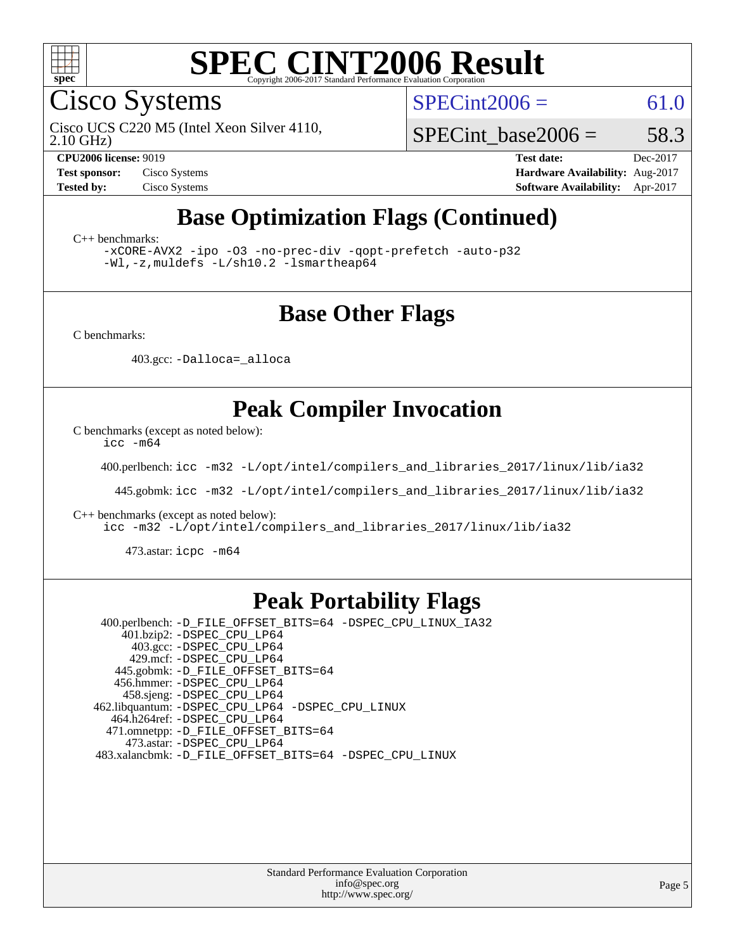

Cisco Systems

 $SPECint2006 = 61.0$  $SPECint2006 = 61.0$ 

2.10 GHz) Cisco UCS C220 M5 (Intel Xeon Silver 4110,

SPECint base2006 =  $58.3$ 

**[CPU2006 license:](http://www.spec.org/auto/cpu2006/Docs/result-fields.html#CPU2006license)** 9019 **[Test date:](http://www.spec.org/auto/cpu2006/Docs/result-fields.html#Testdate)** Dec-2017 **[Test sponsor:](http://www.spec.org/auto/cpu2006/Docs/result-fields.html#Testsponsor)** Cisco Systems **[Hardware Availability:](http://www.spec.org/auto/cpu2006/Docs/result-fields.html#HardwareAvailability)** Aug-2017 **[Tested by:](http://www.spec.org/auto/cpu2006/Docs/result-fields.html#Testedby)** Cisco Systems **[Software Availability:](http://www.spec.org/auto/cpu2006/Docs/result-fields.html#SoftwareAvailability)** Apr-2017

## **[Base Optimization Flags \(Continued\)](http://www.spec.org/auto/cpu2006/Docs/result-fields.html#BaseOptimizationFlags)**

[C++ benchmarks:](http://www.spec.org/auto/cpu2006/Docs/result-fields.html#CXXbenchmarks)

[-xCORE-AVX2](http://www.spec.org/cpu2006/results/res2017q4/cpu2006-20171211-51009.flags.html#user_CXXbase_f-xCORE-AVX2) [-ipo](http://www.spec.org/cpu2006/results/res2017q4/cpu2006-20171211-51009.flags.html#user_CXXbase_f-ipo) [-O3](http://www.spec.org/cpu2006/results/res2017q4/cpu2006-20171211-51009.flags.html#user_CXXbase_f-O3) [-no-prec-div](http://www.spec.org/cpu2006/results/res2017q4/cpu2006-20171211-51009.flags.html#user_CXXbase_f-no-prec-div) [-qopt-prefetch](http://www.spec.org/cpu2006/results/res2017q4/cpu2006-20171211-51009.flags.html#user_CXXbase_f-qopt-prefetch) [-auto-p32](http://www.spec.org/cpu2006/results/res2017q4/cpu2006-20171211-51009.flags.html#user_CXXbase_f-auto-p32) [-Wl,-z,muldefs](http://www.spec.org/cpu2006/results/res2017q4/cpu2006-20171211-51009.flags.html#user_CXXbase_link_force_multiple1_74079c344b956b9658436fd1b6dd3a8a) [-L/sh10.2 -lsmartheap64](http://www.spec.org/cpu2006/results/res2017q4/cpu2006-20171211-51009.flags.html#user_CXXbase_SmartHeap64_63911d860fc08c15fa1d5bf319b9d8d5)

### **[Base Other Flags](http://www.spec.org/auto/cpu2006/Docs/result-fields.html#BaseOtherFlags)**

[C benchmarks](http://www.spec.org/auto/cpu2006/Docs/result-fields.html#Cbenchmarks):

403.gcc: [-Dalloca=\\_alloca](http://www.spec.org/cpu2006/results/res2017q4/cpu2006-20171211-51009.flags.html#b403.gcc_baseEXTRA_CFLAGS_Dalloca_be3056838c12de2578596ca5467af7f3)

## **[Peak Compiler Invocation](http://www.spec.org/auto/cpu2006/Docs/result-fields.html#PeakCompilerInvocation)**

[C benchmarks \(except as noted below\)](http://www.spec.org/auto/cpu2006/Docs/result-fields.html#Cbenchmarksexceptasnotedbelow):

[icc -m64](http://www.spec.org/cpu2006/results/res2017q4/cpu2006-20171211-51009.flags.html#user_CCpeak_intel_icc_64bit_bda6cc9af1fdbb0edc3795bac97ada53)

400.perlbench: [icc -m32 -L/opt/intel/compilers\\_and\\_libraries\\_2017/linux/lib/ia32](http://www.spec.org/cpu2006/results/res2017q4/cpu2006-20171211-51009.flags.html#user_peakCCLD400_perlbench_intel_icc_c29f3ff5a7ed067b11e4ec10a03f03ae)

445.gobmk: [icc -m32 -L/opt/intel/compilers\\_and\\_libraries\\_2017/linux/lib/ia32](http://www.spec.org/cpu2006/results/res2017q4/cpu2006-20171211-51009.flags.html#user_peakCCLD445_gobmk_intel_icc_c29f3ff5a7ed067b11e4ec10a03f03ae)

[C++ benchmarks \(except as noted below\):](http://www.spec.org/auto/cpu2006/Docs/result-fields.html#CXXbenchmarksexceptasnotedbelow)

[icc -m32 -L/opt/intel/compilers\\_and\\_libraries\\_2017/linux/lib/ia32](http://www.spec.org/cpu2006/results/res2017q4/cpu2006-20171211-51009.flags.html#user_CXXpeak_intel_icc_c29f3ff5a7ed067b11e4ec10a03f03ae)

473.astar: [icpc -m64](http://www.spec.org/cpu2006/results/res2017q4/cpu2006-20171211-51009.flags.html#user_peakCXXLD473_astar_intel_icpc_64bit_fc66a5337ce925472a5c54ad6a0de310)

#### **[Peak Portability Flags](http://www.spec.org/auto/cpu2006/Docs/result-fields.html#PeakPortabilityFlags)**

 400.perlbench: [-D\\_FILE\\_OFFSET\\_BITS=64](http://www.spec.org/cpu2006/results/res2017q4/cpu2006-20171211-51009.flags.html#user_peakPORTABILITY400_perlbench_file_offset_bits_64_438cf9856305ebd76870a2c6dc2689ab) [-DSPEC\\_CPU\\_LINUX\\_IA32](http://www.spec.org/cpu2006/results/res2017q4/cpu2006-20171211-51009.flags.html#b400.perlbench_peakCPORTABILITY_DSPEC_CPU_LINUX_IA32) 401.bzip2: [-DSPEC\\_CPU\\_LP64](http://www.spec.org/cpu2006/results/res2017q4/cpu2006-20171211-51009.flags.html#suite_peakPORTABILITY401_bzip2_DSPEC_CPU_LP64) 403.gcc: [-DSPEC\\_CPU\\_LP64](http://www.spec.org/cpu2006/results/res2017q4/cpu2006-20171211-51009.flags.html#suite_peakPORTABILITY403_gcc_DSPEC_CPU_LP64) 429.mcf: [-DSPEC\\_CPU\\_LP64](http://www.spec.org/cpu2006/results/res2017q4/cpu2006-20171211-51009.flags.html#suite_peakPORTABILITY429_mcf_DSPEC_CPU_LP64) 445.gobmk: [-D\\_FILE\\_OFFSET\\_BITS=64](http://www.spec.org/cpu2006/results/res2017q4/cpu2006-20171211-51009.flags.html#user_peakPORTABILITY445_gobmk_file_offset_bits_64_438cf9856305ebd76870a2c6dc2689ab) 456.hmmer: [-DSPEC\\_CPU\\_LP64](http://www.spec.org/cpu2006/results/res2017q4/cpu2006-20171211-51009.flags.html#suite_peakPORTABILITY456_hmmer_DSPEC_CPU_LP64) 458.sjeng: [-DSPEC\\_CPU\\_LP64](http://www.spec.org/cpu2006/results/res2017q4/cpu2006-20171211-51009.flags.html#suite_peakPORTABILITY458_sjeng_DSPEC_CPU_LP64) 462.libquantum: [-DSPEC\\_CPU\\_LP64](http://www.spec.org/cpu2006/results/res2017q4/cpu2006-20171211-51009.flags.html#suite_peakPORTABILITY462_libquantum_DSPEC_CPU_LP64) [-DSPEC\\_CPU\\_LINUX](http://www.spec.org/cpu2006/results/res2017q4/cpu2006-20171211-51009.flags.html#b462.libquantum_peakCPORTABILITY_DSPEC_CPU_LINUX) 464.h264ref: [-DSPEC\\_CPU\\_LP64](http://www.spec.org/cpu2006/results/res2017q4/cpu2006-20171211-51009.flags.html#suite_peakPORTABILITY464_h264ref_DSPEC_CPU_LP64) 471.omnetpp: [-D\\_FILE\\_OFFSET\\_BITS=64](http://www.spec.org/cpu2006/results/res2017q4/cpu2006-20171211-51009.flags.html#user_peakPORTABILITY471_omnetpp_file_offset_bits_64_438cf9856305ebd76870a2c6dc2689ab) 473.astar: [-DSPEC\\_CPU\\_LP64](http://www.spec.org/cpu2006/results/res2017q4/cpu2006-20171211-51009.flags.html#suite_peakPORTABILITY473_astar_DSPEC_CPU_LP64) 483.xalancbmk: [-D\\_FILE\\_OFFSET\\_BITS=64](http://www.spec.org/cpu2006/results/res2017q4/cpu2006-20171211-51009.flags.html#user_peakPORTABILITY483_xalancbmk_file_offset_bits_64_438cf9856305ebd76870a2c6dc2689ab) [-DSPEC\\_CPU\\_LINUX](http://www.spec.org/cpu2006/results/res2017q4/cpu2006-20171211-51009.flags.html#b483.xalancbmk_peakCXXPORTABILITY_DSPEC_CPU_LINUX)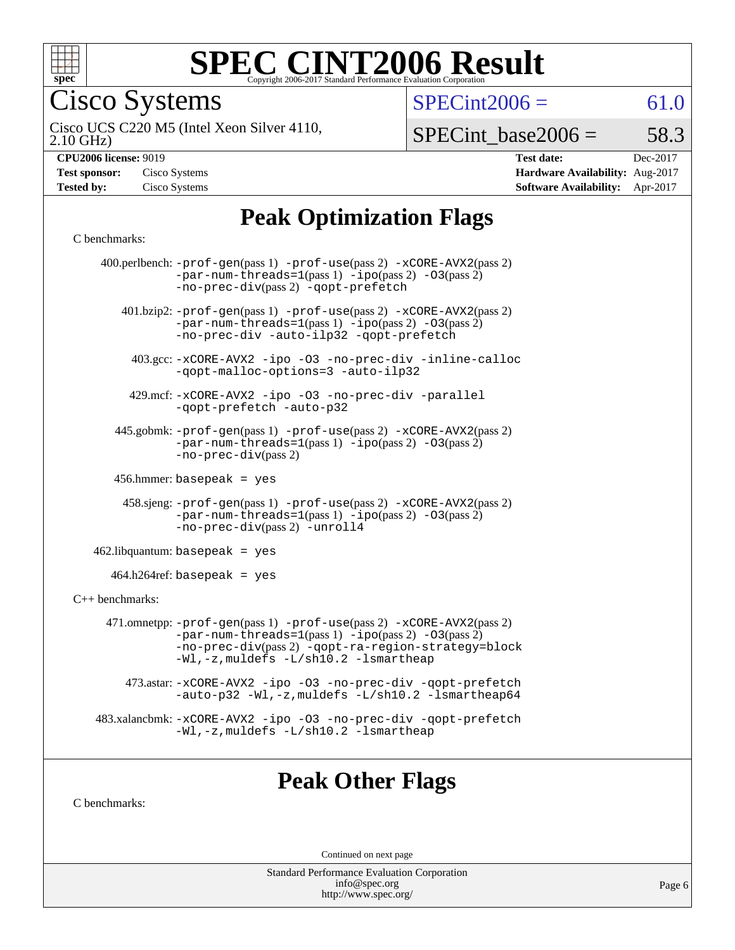

Cisco Systems

 $SPECint2006 = 61.0$  $SPECint2006 = 61.0$ 

2.10 GHz) Cisco UCS C220 M5 (Intel Xeon Silver 4110,

 $SPECTnt\_base2006 = 58.3$ 

| <b>CPU2006 license: 9019</b> |  |
|------------------------------|--|

| <b>Test sponsor:</b> | Cisco Systems |
|----------------------|---------------|
| <b>Tested by:</b>    | Cisco Systems |

**[CPU2006 license:](http://www.spec.org/auto/cpu2006/Docs/result-fields.html#CPU2006license)** 9019 **[Test date:](http://www.spec.org/auto/cpu2006/Docs/result-fields.html#Testdate)** Dec-2017 **[Hardware Availability:](http://www.spec.org/auto/cpu2006/Docs/result-fields.html#HardwareAvailability)** Aug-2017 **[Software Availability:](http://www.spec.org/auto/cpu2006/Docs/result-fields.html#SoftwareAvailability)** Apr-2017

# **[Peak Optimization Flags](http://www.spec.org/auto/cpu2006/Docs/result-fields.html#PeakOptimizationFlags)**

#### [C benchmarks](http://www.spec.org/auto/cpu2006/Docs/result-fields.html#Cbenchmarks):

|                   | 400.perlbench: -prof-gen(pass 1) -prof-use(pass 2) -xCORE-AVX2(pass 2)<br>$-par-num-threads=1(pass 1) -ipo(pass 2) -03(pass 2)$<br>-no-prec-div(pass 2) -qopt-prefetch                                                        |
|-------------------|-------------------------------------------------------------------------------------------------------------------------------------------------------------------------------------------------------------------------------|
|                   | 401.bzip2: -prof-gen(pass 1) -prof-use(pass 2) -xCORE-AVX2(pass 2)<br>$-par-num-threads=1(pass 1) -ipo(pass 2) -03(pass 2)$<br>-no-prec-div -auto-ilp32 -qopt-prefetch                                                        |
|                   | 403.gcc: -xCORE-AVX2 -ipo -03 -no-prec-div -inline-calloc<br>-qopt-malloc-options=3 -auto-ilp32                                                                                                                               |
|                   | 429.mcf: -xCORE-AVX2 -ipo -03 -no-prec-div -parallel<br>-gopt-prefetch -auto-p32                                                                                                                                              |
|                   | 445.gobmk: -prof-gen(pass 1) -prof-use(pass 2) -xCORE-AVX2(pass 2)<br>$-par-num-threads=1(pass 1) -ipo(pass 2) -03(pass 2)$<br>$-no-prec-div(pass 2)$                                                                         |
|                   | $456.$ hmmer: basepeak = yes                                                                                                                                                                                                  |
|                   | $458 \text{.}$ sjeng: $-\text{prof-gen(pass 1)} - \text{prof-use(pass 2)} - \text{xCORE-AVX2(pass 2)}$<br>$-par-num-threads=1(pass 1) -ipo(pass 2) -03(pass 2)$<br>-no-prec-div(pass 2) -unroll4                              |
|                   | $462$ .libquantum: basepeak = yes                                                                                                                                                                                             |
|                   | $464.h264$ ref: basepeak = yes                                                                                                                                                                                                |
| $C++$ benchmarks: |                                                                                                                                                                                                                               |
|                   | 471.omnetpp: -prof-gen(pass 1) -prof-use(pass 2) -xCORE-AVX2(pass 2)<br>$-par-num-threads=1(pass 1) -ipo(pass 2) -03(pass 2)$<br>-no-prec-div(pass 2) -qopt-ra-region-strategy=block<br>-Wl,-z, muldefs -L/sh10.2 -lsmartheap |
|                   | 473.astar: -xCORE-AVX2 -ipo -03 -no-prec-div -qopt-prefetch<br>-auto-p32 -Wl,-z, muldefs -L/sh10.2 -lsmartheap64                                                                                                              |
|                   | 483.xalancbmk: -xCORE-AVX2 -ipo -03 -no-prec-div -qopt-prefetch<br>-Wl,-z, muldefs -L/sh10.2 -lsmartheap                                                                                                                      |
|                   |                                                                                                                                                                                                                               |

### **[Peak Other Flags](http://www.spec.org/auto/cpu2006/Docs/result-fields.html#PeakOtherFlags)**

[C benchmarks](http://www.spec.org/auto/cpu2006/Docs/result-fields.html#Cbenchmarks):

Continued on next page